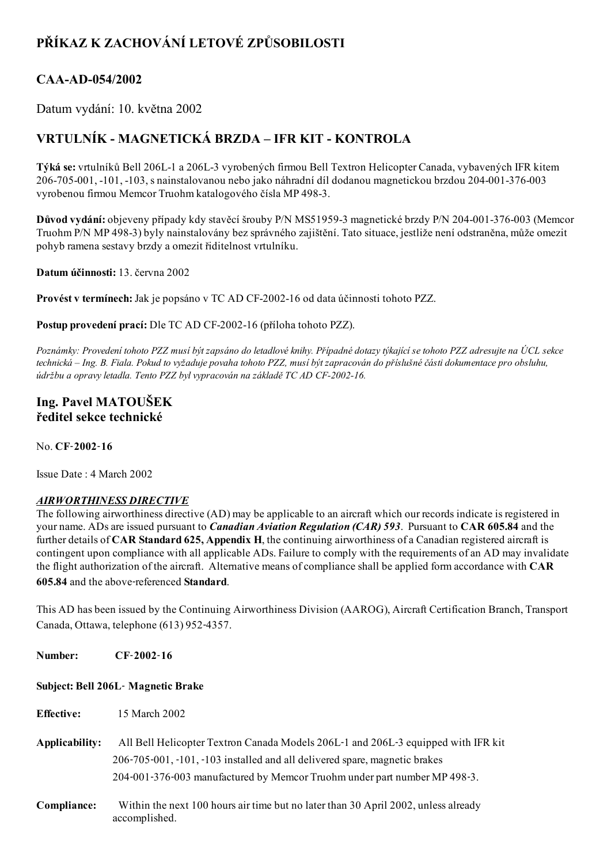# PŘÍKAZ K ZACHOVÁNÍ LETOVÉ ZPŮSOBILOSTI

## CAA-AD-054/2002

Datum vydání: 10. května 2002

## VRTULNÍK - MAGNETICKÁ BRZDA – IFR KIT - KONTROLA

Týká se: vrtulníků Bell 206L-1 a 206L-3 vyrobených firmou Bell Textron Helicopter Canada, vybavených IFR kitem 206-705-001, -101, -103, s nainstalovanou nebo jako náhradní díl dodanou magnetickou brzdou 204-001-376-003 vyrobenou firmou Memcor Truohm katalogového čísla MP 498-3.

Důvod vydání: objeveny případy kdy stavěcí šrouby P/N MS51959-3 magnetické brzdy P/N 204-001-376-003 (Memcor Truohm P/N MP 498-3) byly nainstalovány bez správného zajištění. Tato situace, jestliže není odstraněna, může omezit pohyb ramena sestavy brzdy a omezit řiditelnost vrtulníku.

Datum účinnosti: 13. června 2002

Provést v termínech: Jak je popsáno v TC AD CF-2002-16 od data účinnosti tohoto PZZ.

Postup provedení prací: Dle TC AD CF-2002-16 (příloha tohoto PZZ).

Poznámky: Provedení tohoto PZZ musí být zapsáno do letadlové knihy. Případné dotazy týkající se tohoto PZZ adresujte na ÚCL sekce technická – Ing. B. Fiala. Pokud to vyžaduje povaha tohoto PZZ, musí být zapracován do příslušné části dokumentace pro obsluhu, údržbu a opravy letadla. Tento PZZ byl vypracován na základě TC AD CF-2002-16.

### Ing. Pavel MATOUŠEK ředitel sekce technické

No. CF‑2002‑16

Issue Date : 4 March 2002

### AIRWORTHINESS DIRECTIVE

The following airworthiness directive (AD) may be applicable to an aircraft which our records indicate is registered in your name. ADs are issued pursuant to *Canadian Aviation Regulation (CAR)* 593. Pursuant to CAR 605.84 and the further details of CAR Standard 625, Appendix H, the continuing airworthiness of a Canadian registered aircraft is contingent upon compliance with all applicable ADs. Failure to comply with the requirements of an AD may invalidate the flight authorization of the aircraft. Alternative means of compliance shall be applied form accordance with CAR 605.84 and the above‑referenced Standard.

This AD has been issued by the Continuing Airworthiness Division (AAROG), Aircraft Certification Branch, Transport Canada, Ottawa, telephone (613) 952‑4357.

Number: CF-2002-16

#### Subject: Bell 206L‑ Magnetic Brake

Effective: 15 March 2002

- Applicability: All Bell Helicopter Textron Canada Models 206L-1 and 206L-3 equipped with IFR kit 206‑705‑001, ‑101, ‑103 installed and all delivered spare, magnetic brakes 204‑001‑376‑003 manufactured by Memcor Truohm under part number MP 498‑3.
- Compliance: Within the next 100 hours air time but no later than 30 April 2002, unless already accomplished.